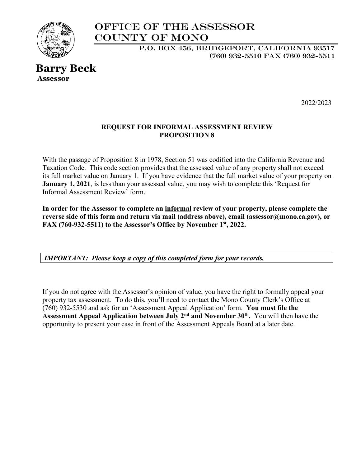

# Office of the Assessor COUNTY OF MONO

 P.O. BOX 456, BRIDGEPORT, CALIFORNIA 93517 (760) 932-5510 FAX (760) 932-5511

## **Barry Beck Assessor**

2022/2023

### **REQUEST FOR INFORMAL ASSESSMENT REVIEW PROPOSITION 8**

With the passage of Proposition 8 in 1978, Section 51 was codified into the California Revenue and Taxation Code. This code section provides that the assessed value of any property shall not exceed its full market value on January 1. If you have evidence that the full market value of your property on **January 1, 2021**, is less than your assessed value, you may wish to complete this 'Request for Informal Assessment Review' form.

**In order for the Assessor to complete an informal review of your property, please complete the reverse side of this form and return via mail (address above), email (assessor@mono.ca.gov), or FAX (760-932-5511) to the Assessor's Office by November 1st, 2022.**

*IMPORTANT: Please keep a copy of this completed form for your records.* 

If you do not agree with the Assessor's opinion of value, you have the right to formally appeal your property tax assessment. To do this, you'll need to contact the Mono County Clerk's Office at (760) 932-5530 and ask for an 'Assessment Appeal Application' form. **You must file the Assessment Appeal Application between July 2nd and November 30th.** You will then have the opportunity to present your case in front of the Assessment Appeals Board at a later date.